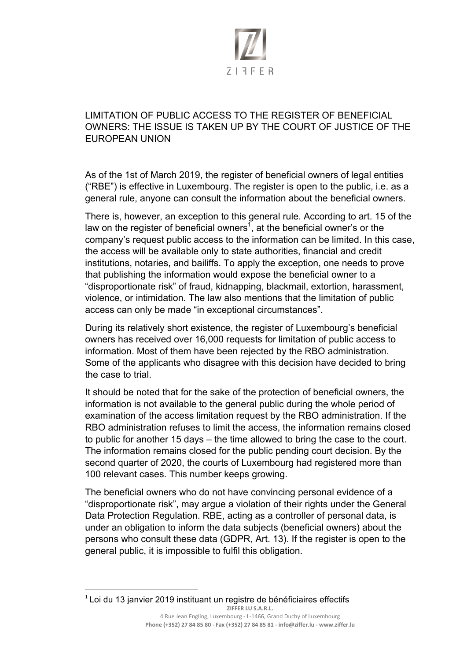

## LIMITATION OF PUBLIC ACCESS TO THE REGISTER OF BENEFICIAL OWNERS: THE ISSUE IS TAKEN UP BY THE COURT OF JUSTICE OF THE EUROPEAN UNION

As of the 1st of March 2019, the register of beneficial owners of legal entities ("RBE") is effective in Luxembourg. The register is open to the public, i.e. as a general rule, anyone can consult the information about the beneficial owners.

There is, however, an exception to this general rule. According to art. 15 of the law on the register of beneficial owners<sup>1</sup>, at the beneficial owner's or the company's request public access to the information can be limited. In this case, the access will be available only to state authorities, financial and credit institutions, notaries, and bailiffs. To apply the exception, one needs to prove that publishing the information would expose the beneficial owner to a "disproportionate risk" of fraud, kidnapping, blackmail, extortion, harassment, violence, or intimidation. The law also mentions that the limitation of public access can only be made "in exceptional circumstances".

During its relatively short existence, the register of Luxembourg's beneficial owners has received over 16,000 requests for limitation of public access to information. Most of them have been rejected by the RBO administration. Some of the applicants who disagree with this decision have decided to bring the case to trial.

It should be noted that for the sake of the protection of beneficial owners, the information is not available to the general public during the whole period of examination of the access limitation request by the RBO administration. If the RBO administration refuses to limit the access, the information remains closed to public for another 15 days – the time allowed to bring the case to the court. The information remains closed for the public pending court decision. By the second quarter of 2020, the courts of Luxembourg had registered more than 100 relevant cases. This number keeps growing.

The beneficial owners who do not have convincing personal evidence of a "disproportionate risk", may argue a violation of their rights under the General Data Protection Regulation. RBE, acting as a controller of personal data, is under an obligation to inform the data subjects (beneficial owners) about the persons who consult these data (GDPR, Art. 13). If the register is open to the general public, it is impossible to fulfil this obligation.

 

ZIFFER LU S.A.R.L.  $1$  Loi du 13 janvier 2019 instituant un registre de bénéficiaires effectifs